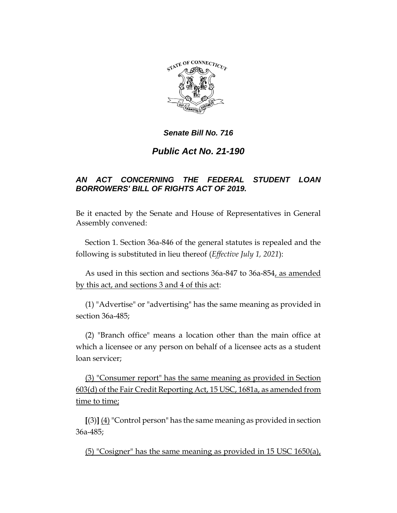

# *Public Act No. 21-190*

# *AN ACT CONCERNING THE FEDERAL STUDENT LOAN BORROWERS' BILL OF RIGHTS ACT OF 2019.*

Be it enacted by the Senate and House of Representatives in General Assembly convened:

Section 1. Section 36a-846 of the general statutes is repealed and the following is substituted in lieu thereof (*Effective July 1, 2021*):

As used in this section and sections 36a-847 to 36a-854, as amended by this act, and sections 3 and 4 of this act:

(1) "Advertise" or "advertising" has the same meaning as provided in section 36a-485;

(2) "Branch office" means a location other than the main office at which a licensee or any person on behalf of a licensee acts as a student loan servicer;

(3) "Consumer report" has the same meaning as provided in Section 603(d) of the Fair Credit Reporting Act, 15 USC, 1681a, as amended from time to time;

**[**(3)**]** (4)"Control person" has the same meaning as provided in section 36a-485;

(5) "Cosigner" has the same meaning as provided in 15 USC 1650(a),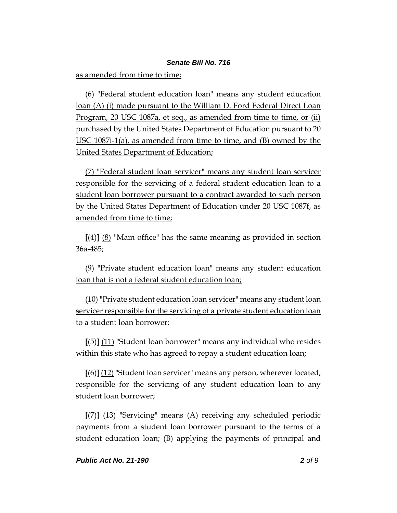as amended from time to time;

(6) "Federal student education loan" means any student education loan (A) (i) made pursuant to the William D. Ford Federal Direct Loan Program, 20 USC 1087a, et seq., as amended from time to time, or (ii) purchased by the United States Department of Education pursuant to 20 USC 1087i-1(a), as amended from time to time, and (B) owned by the United States Department of Education;

(7) "Federal student loan servicer" means any student loan servicer responsible for the servicing of a federal student education loan to a student loan borrower pursuant to a contract awarded to such person by the United States Department of Education under 20 USC 1087f, as amended from time to time;

**[**(4)**]** (8) "Main office" has the same meaning as provided in section 36a-485;

(9) "Private student education loan" means any student education loan that is not a federal student education loan;

(10) "Private student education loan servicer" means any student loan servicer responsible for the servicing of a private student education loan to a student loan borrower;

**[**(5)**]** (11) "Student loan borrower" means any individual who resides within this state who has agreed to repay a student education loan;

**[**(6)**]** (12) "Student loan servicer" means any person, wherever located, responsible for the servicing of any student education loan to any student loan borrower;

**[**(7)**]** (13) "Servicing" means (A) receiving any scheduled periodic payments from a student loan borrower pursuant to the terms of a student education loan; (B) applying the payments of principal and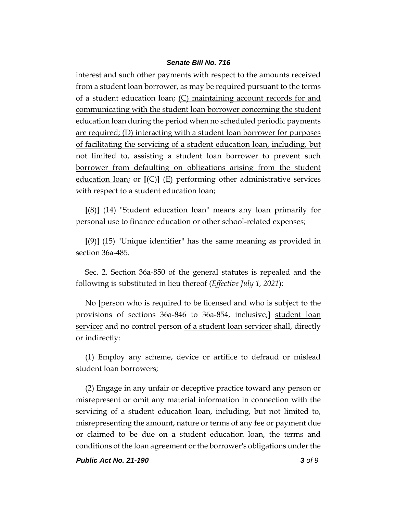interest and such other payments with respect to the amounts received from a student loan borrower, as may be required pursuant to the terms of a student education loan; (C) maintaining account records for and communicating with the student loan borrower concerning the student education loan during the period when no scheduled periodic payments are required; (D) interacting with a student loan borrower for purposes of facilitating the servicing of a student education loan, including, but not limited to, assisting a student loan borrower to prevent such borrower from defaulting on obligations arising from the student education loan; or **[**(C)**]** (E) performing other administrative services with respect to a student education loan;

**[**(8)**]** (14) "Student education loan" means any loan primarily for personal use to finance education or other school-related expenses;

**[**(9)**]** (15) "Unique identifier" has the same meaning as provided in section 36a-485.

Sec. 2. Section 36a-850 of the general statutes is repealed and the following is substituted in lieu thereof (*Effective July 1, 2021*):

No **[**person who is required to be licensed and who is subject to the provisions of sections 36a-846 to 36a-854, inclusive,**]** student loan servicer and no control person of a student loan servicer shall, directly or indirectly:

(1) Employ any scheme, device or artifice to defraud or mislead student loan borrowers;

(2) Engage in any unfair or deceptive practice toward any person or misrepresent or omit any material information in connection with the servicing of a student education loan, including, but not limited to, misrepresenting the amount, nature or terms of any fee or payment due or claimed to be due on a student education loan, the terms and conditions of the loan agreement or the borrower's obligations under the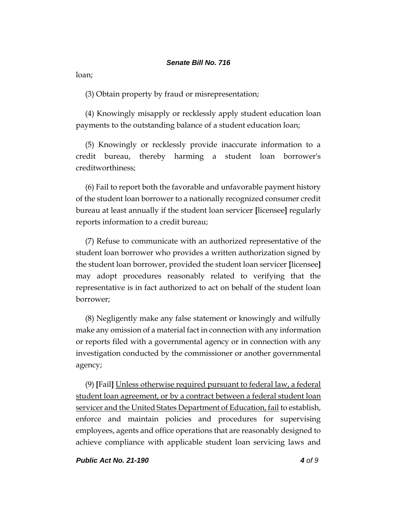loan;

(3) Obtain property by fraud or misrepresentation;

(4) Knowingly misapply or recklessly apply student education loan payments to the outstanding balance of a student education loan;

(5) Knowingly or recklessly provide inaccurate information to a credit bureau, thereby harming a student loan borrower's creditworthiness;

(6) Fail to report both the favorable and unfavorable payment history of the student loan borrower to a nationally recognized consumer credit bureau at least annually if the student loan servicer **[**licensee**]** regularly reports information to a credit bureau;

(7) Refuse to communicate with an authorized representative of the student loan borrower who provides a written authorization signed by the student loan borrower, provided the student loan servicer **[**licensee**]** may adopt procedures reasonably related to verifying that the representative is in fact authorized to act on behalf of the student loan borrower;

(8) Negligently make any false statement or knowingly and wilfully make any omission of a material fact in connection with any information or reports filed with a governmental agency or in connection with any investigation conducted by the commissioner or another governmental agency;

(9) **[**Fail**]** Unless otherwise required pursuant to federal law, a federal student loan agreement, or by a contract between a federal student loan servicer and the United States Department of Education, fail to establish, enforce and maintain policies and procedures for supervising employees, agents and office operations that are reasonably designed to achieve compliance with applicable student loan servicing laws and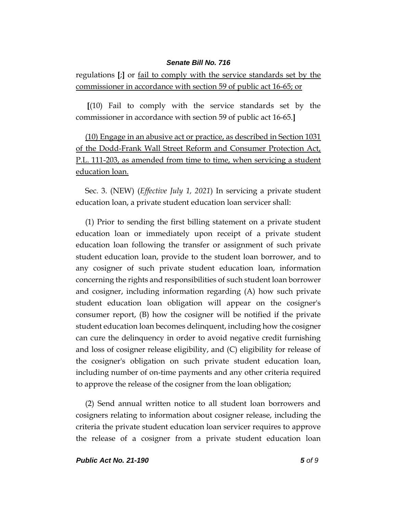regulations **[**;**]** or fail to comply with the service standards set by the commissioner in accordance with section 59 of public act 16-65; or

**[**(10) Fail to comply with the service standards set by the commissioner in accordance with section 59 of public act 16-65.**]**

(10) Engage in an abusive act or practice, as described in Section 1031 of the Dodd-Frank Wall Street Reform and Consumer Protection Act, P.L. 111-203, as amended from time to time, when servicing a student education loan.

Sec. 3. (NEW) (*Effective July 1, 2021*) In servicing a private student education loan, a private student education loan servicer shall:

(1) Prior to sending the first billing statement on a private student education loan or immediately upon receipt of a private student education loan following the transfer or assignment of such private student education loan, provide to the student loan borrower, and to any cosigner of such private student education loan, information concerning the rights and responsibilities of such student loan borrower and cosigner, including information regarding (A) how such private student education loan obligation will appear on the cosigner's consumer report, (B) how the cosigner will be notified if the private student education loan becomes delinquent, including how the cosigner can cure the delinquency in order to avoid negative credit furnishing and loss of cosigner release eligibility, and (C) eligibility for release of the cosigner's obligation on such private student education loan, including number of on-time payments and any other criteria required to approve the release of the cosigner from the loan obligation;

(2) Send annual written notice to all student loan borrowers and cosigners relating to information about cosigner release, including the criteria the private student education loan servicer requires to approve the release of a cosigner from a private student education loan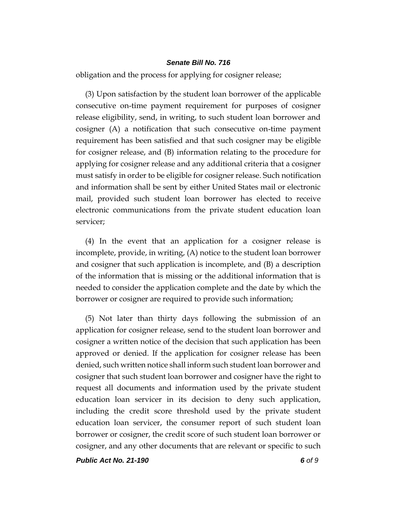obligation and the process for applying for cosigner release;

(3) Upon satisfaction by the student loan borrower of the applicable consecutive on-time payment requirement for purposes of cosigner release eligibility, send, in writing, to such student loan borrower and cosigner (A) a notification that such consecutive on-time payment requirement has been satisfied and that such cosigner may be eligible for cosigner release, and (B) information relating to the procedure for applying for cosigner release and any additional criteria that a cosigner must satisfy in order to be eligible for cosigner release. Such notification and information shall be sent by either United States mail or electronic mail, provided such student loan borrower has elected to receive electronic communications from the private student education loan servicer;

(4) In the event that an application for a cosigner release is incomplete, provide, in writing, (A) notice to the student loan borrower and cosigner that such application is incomplete, and (B) a description of the information that is missing or the additional information that is needed to consider the application complete and the date by which the borrower or cosigner are required to provide such information;

(5) Not later than thirty days following the submission of an application for cosigner release, send to the student loan borrower and cosigner a written notice of the decision that such application has been approved or denied. If the application for cosigner release has been denied, such written notice shall inform such student loan borrower and cosigner that such student loan borrower and cosigner have the right to request all documents and information used by the private student education loan servicer in its decision to deny such application, including the credit score threshold used by the private student education loan servicer, the consumer report of such student loan borrower or cosigner, the credit score of such student loan borrower or cosigner, and any other documents that are relevant or specific to such

*Public Act No. 21-190 6 of 9*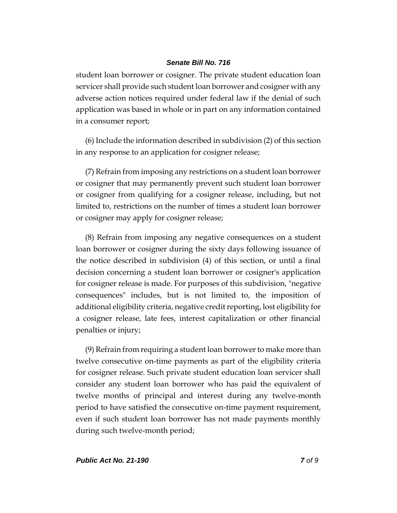student loan borrower or cosigner. The private student education loan servicer shall provide such student loan borrower and cosigner with any adverse action notices required under federal law if the denial of such application was based in whole or in part on any information contained in a consumer report;

(6) Include the information described in subdivision (2) of this section in any response to an application for cosigner release;

(7) Refrain from imposing any restrictions on a student loan borrower or cosigner that may permanently prevent such student loan borrower or cosigner from qualifying for a cosigner release, including, but not limited to, restrictions on the number of times a student loan borrower or cosigner may apply for cosigner release;

(8) Refrain from imposing any negative consequences on a student loan borrower or cosigner during the sixty days following issuance of the notice described in subdivision (4) of this section, or until a final decision concerning a student loan borrower or cosigner's application for cosigner release is made. For purposes of this subdivision, "negative consequences" includes, but is not limited to, the imposition of additional eligibility criteria, negative credit reporting, lost eligibility for a cosigner release, late fees, interest capitalization or other financial penalties or injury;

(9) Refrain from requiring a student loan borrower to make more than twelve consecutive on-time payments as part of the eligibility criteria for cosigner release. Such private student education loan servicer shall consider any student loan borrower who has paid the equivalent of twelve months of principal and interest during any twelve-month period to have satisfied the consecutive on-time payment requirement, even if such student loan borrower has not made payments monthly during such twelve-month period;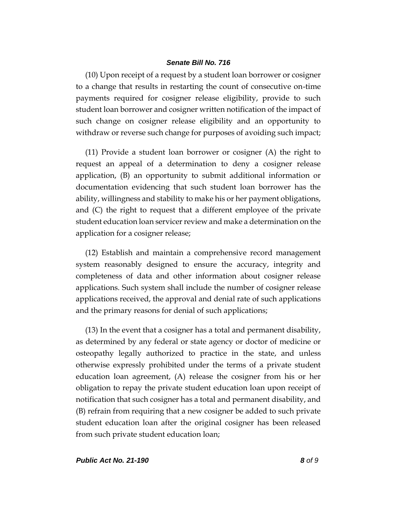(10) Upon receipt of a request by a student loan borrower or cosigner to a change that results in restarting the count of consecutive on-time payments required for cosigner release eligibility, provide to such student loan borrower and cosigner written notification of the impact of such change on cosigner release eligibility and an opportunity to withdraw or reverse such change for purposes of avoiding such impact;

(11) Provide a student loan borrower or cosigner (A) the right to request an appeal of a determination to deny a cosigner release application, (B) an opportunity to submit additional information or documentation evidencing that such student loan borrower has the ability, willingness and stability to make his or her payment obligations, and (C) the right to request that a different employee of the private student education loan servicer review and make a determination on the application for a cosigner release;

(12) Establish and maintain a comprehensive record management system reasonably designed to ensure the accuracy, integrity and completeness of data and other information about cosigner release applications. Such system shall include the number of cosigner release applications received, the approval and denial rate of such applications and the primary reasons for denial of such applications;

(13) In the event that a cosigner has a total and permanent disability, as determined by any federal or state agency or doctor of medicine or osteopathy legally authorized to practice in the state, and unless otherwise expressly prohibited under the terms of a private student education loan agreement, (A) release the cosigner from his or her obligation to repay the private student education loan upon receipt of notification that such cosigner has a total and permanent disability, and (B) refrain from requiring that a new cosigner be added to such private student education loan after the original cosigner has been released from such private student education loan;